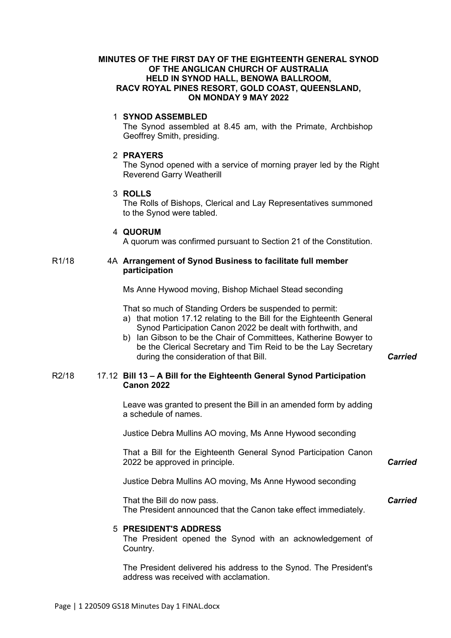## **MINUTES OF THE FIRST DAY OF THE EIGHTEENTH GENERAL SYNOD OF THE ANGLICAN CHURCH OF AUSTRALIA HELD IN SYNOD HALL, BENOWA BALLROOM, RACV ROYAL PINES RESORT, GOLD COAST, QUEENSLAND, ON MONDAY 9 MAY 2022**

### 1 **SYNOD ASSEMBLED**

The Synod assembled at 8.45 am, with the Primate, Archbishop Geoffrey Smith, presiding.

## 2 **PRAYERS**

The Synod opened with a service of morning prayer led by the Right Reverend Garry Weatherill

## 3 **ROLLS**

The Rolls of Bishops, Clerical and Lay Representatives summoned to the Synod were tabled.

### 4 **QUORUM**

A quorum was confirmed pursuant to Section 21 of the Constitution.

## R1/18 4A **Arrangement of Synod Business to facilitate full member participation**

Ms Anne Hywood moving, Bishop Michael Stead seconding

That so much of Standing Orders be suspended to permit: a) that motion 17.12 relating to the Bill for the Eighteenth General Synod Participation Canon 2022 be dealt with forthwith, and

b) Ian Gibson to be the Chair of Committees, Katherine Bowyer to be the Clerical Secretary and Tim Reid to be the Lay Secretary during the consideration of that Bill. *Carried*

## R2/18 17.12 **Bill 13 – A Bill for the Eighteenth General Synod Participation Canon 2022**

Leave was granted to present the Bill in an amended form by adding a schedule of names.

Justice Debra Mullins AO moving, Ms Anne Hywood seconding

That a Bill for the Eighteenth General Synod Participation Canon 2022 be approved in principle.

*Carried*

*Carried*

Justice Debra Mullins AO moving, Ms Anne Hywood seconding

That the Bill do now pass. The President announced that the Canon take effect immediately.

## 5 **PRESIDENT'S ADDRESS**

The President opened the Synod with an acknowledgement of Country.

The President delivered his address to the Synod. The President's address was received with acclamation.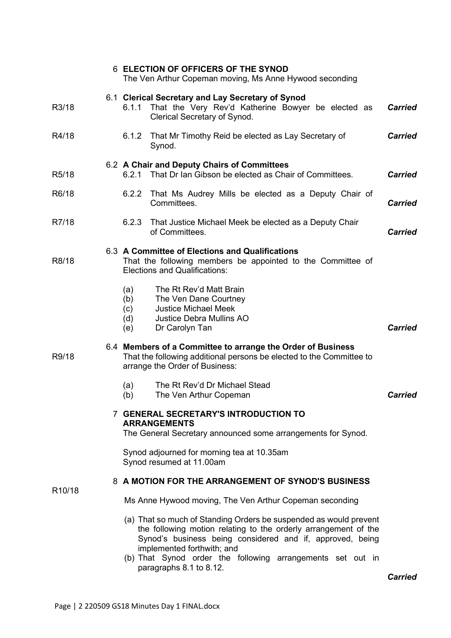|                     | <b>6 ELECTION OF OFFICERS OF THE SYNOD</b><br>The Ven Arthur Copeman moving, Ms Anne Hywood seconding                                                                                                                                                                                                                    |                |
|---------------------|--------------------------------------------------------------------------------------------------------------------------------------------------------------------------------------------------------------------------------------------------------------------------------------------------------------------------|----------------|
| R3/18               | 6.1 Clerical Secretary and Lay Secretary of Synod<br>That the Very Rev'd Katherine Bowyer be elected as<br>6.1.1<br>Clerical Secretary of Synod.                                                                                                                                                                         | <b>Carried</b> |
| R4/18               | 6.1.2<br>That Mr Timothy Reid be elected as Lay Secretary of<br>Synod.                                                                                                                                                                                                                                                   | <b>Carried</b> |
| R <sub>5</sub> /18  | 6.2 A Chair and Deputy Chairs of Committees<br>6.2.1 That Dr Ian Gibson be elected as Chair of Committees.                                                                                                                                                                                                               | <b>Carried</b> |
| R6/18               | 6.2.2<br>That Ms Audrey Mills be elected as a Deputy Chair of<br>Committees.                                                                                                                                                                                                                                             | <b>Carried</b> |
| R7/18               | 6.2.3<br>That Justice Michael Meek be elected as a Deputy Chair<br>of Committees.                                                                                                                                                                                                                                        | <b>Carried</b> |
| R8/18               | 6.3 A Committee of Elections and Qualifications<br>That the following members be appointed to the Committee of<br><b>Elections and Qualifications:</b>                                                                                                                                                                   |                |
|                     | The Rt Rev'd Matt Brain<br>(a)<br>The Ven Dane Courtney<br>(b)<br><b>Justice Michael Meek</b><br>(c)<br>(d)<br><b>Justice Debra Mullins AO</b><br>(e)<br>Dr Carolyn Tan                                                                                                                                                  | <b>Carried</b> |
| R9/18               | 6.4 Members of a Committee to arrange the Order of Business<br>That the following additional persons be elected to the Committee to<br>arrange the Order of Business:                                                                                                                                                    |                |
|                     | The Rt Rev'd Dr Michael Stead<br>(a)<br>The Ven Arthur Copeman<br>(b)                                                                                                                                                                                                                                                    | <b>Carried</b> |
|                     | <b>7 GENERAL SECRETARY'S INTRODUCTION TO</b><br><b>ARRANGEMENTS</b><br>The General Secretary announced some arrangements for Synod.                                                                                                                                                                                      |                |
|                     | Synod adjourned for morning tea at 10.35am<br>Synod resumed at 11.00am                                                                                                                                                                                                                                                   |                |
| R <sub>10</sub> /18 | 8 A MOTION FOR THE ARRANGEMENT OF SYNOD'S BUSINESS                                                                                                                                                                                                                                                                       |                |
|                     | Ms Anne Hywood moving, The Ven Arthur Copeman seconding                                                                                                                                                                                                                                                                  |                |
|                     | (a) That so much of Standing Orders be suspended as would prevent<br>the following motion relating to the orderly arrangement of the<br>Synod's business being considered and if, approved, being<br>implemented forthwith; and<br>(b) That Synod order the following arrangements set out in<br>paragraphs 8.1 to 8.12. |                |

*Carried*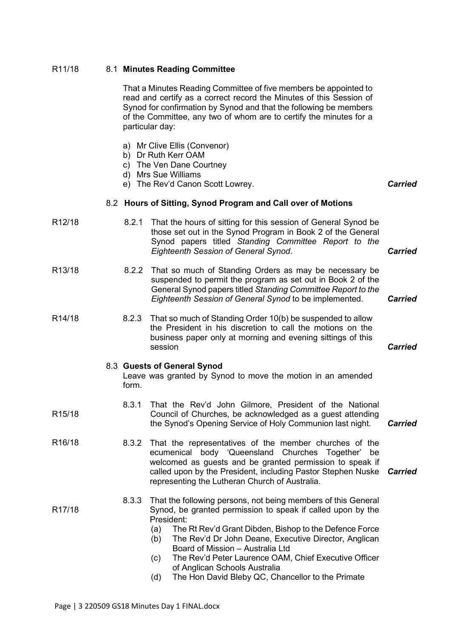| R11/18              |       | 8.1 Minutes Reading Committee                                                                                                                                                                                                                                                                                                                                                                                                                                                |                |
|---------------------|-------|------------------------------------------------------------------------------------------------------------------------------------------------------------------------------------------------------------------------------------------------------------------------------------------------------------------------------------------------------------------------------------------------------------------------------------------------------------------------------|----------------|
|                     |       | That a Minutes Reading Committee of five members be appointed to<br>read and certify as a correct record the Minutes of this Session of<br>Synod for confirmation by Synod and that the following be members<br>of the Committee, any two of whom are to certify the minutes for a<br>particular day:                                                                                                                                                                        |                |
|                     |       | a) Mr Clive Ellis (Convenor)<br>b) Dr Ruth Kerr OAM<br>c) The Ven Dane Courtney<br>d) Mrs Sue Williams<br>e) The Rev'd Canon Scott Lowrey.                                                                                                                                                                                                                                                                                                                                   | <b>Carried</b> |
|                     |       | 8.2 Hours of Sitting, Synod Program and Call over of Motions                                                                                                                                                                                                                                                                                                                                                                                                                 |                |
| R <sub>12</sub> /18 | 8.2.1 | That the hours of sitting for this session of General Synod be<br>those set out in the Synod Program in Book 2 of the General<br>Synod papers titled Standing Committee Report to the<br>Eighteenth Session of General Synod.                                                                                                                                                                                                                                                | <b>Carried</b> |
| R <sub>13</sub> /18 | 8.2.2 | That so much of Standing Orders as may be necessary be<br>suspended to permit the program as set out in Book 2 of the<br>General Synod papers titled Standing Committee Report to the<br>Eighteenth Session of General Synod to be implemented.                                                                                                                                                                                                                              | <b>Carried</b> |
| R14/18              | 8.2.3 | That so much of Standing Order 10(b) be suspended to allow<br>the President in his discretion to call the motions on the<br>business paper only at morning and evening sittings of this<br>session                                                                                                                                                                                                                                                                           | <b>Carried</b> |
|                     | form. | 8.3 Guests of General Synod<br>Leave was granted by Synod to move the motion in an amended                                                                                                                                                                                                                                                                                                                                                                                   |                |
| R <sub>15</sub> /18 |       | 8.3.1 That the Rev'd John Gilmore, President of the National<br>Council of Churches, be acknowledged as a guest attending<br>the Synod's Opening Service of Holy Communion last night.                                                                                                                                                                                                                                                                                       | <b>Carried</b> |
| R <sub>16</sub> /18 | 8.3.2 | That the representatives of the member churches of the<br>ecumenical body 'Queensland Churches Together'<br>be<br>welcomed as guests and be granted permission to speak if<br>called upon by the President, including Pastor Stephen Nuske<br>representing the Lutheran Church of Australia.                                                                                                                                                                                 | <b>Carried</b> |
| R <sub>17</sub> /18 | 8.3.3 | That the following persons, not being members of this General<br>Synod, be granted permission to speak if called upon by the<br>President:<br>The Rt Rev'd Grant Dibden, Bishop to the Defence Force<br>(a)<br>The Rev'd Dr John Deane, Executive Director, Anglican<br>(b)<br>Board of Mission - Australia Ltd<br>The Rev'd Peter Laurence OAM, Chief Executive Officer<br>(c)<br>of Anglican Schools Australia<br>The Hon David Bleby QC, Chancellor to the Primate<br>(d) |                |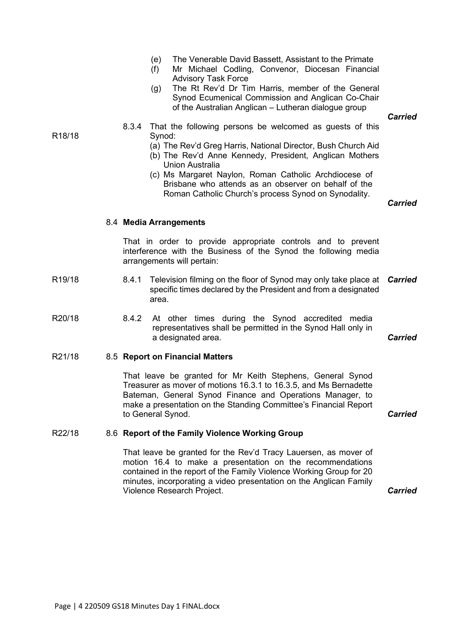|                     |       | (e)<br>(f)<br>(g) | The Venerable David Bassett, Assistant to the Primate<br>Mr Michael Codling, Convenor, Diocesan Financial<br><b>Advisory Task Force</b><br>The Rt Rev'd Dr Tim Harris, member of the General<br>Synod Ecumenical Commission and Anglican Co-Chair<br>of the Australian Anglican - Lutheran dialogue group                                                                               | <b>Carried</b> |
|---------------------|-------|-------------------|-----------------------------------------------------------------------------------------------------------------------------------------------------------------------------------------------------------------------------------------------------------------------------------------------------------------------------------------------------------------------------------------|----------------|
| R <sub>18</sub> /18 | 8.3.4 | Synod:            | That the following persons be welcomed as guests of this<br>(a) The Rev'd Greg Harris, National Director, Bush Church Aid<br>(b) The Rev'd Anne Kennedy, President, Anglican Mothers<br><b>Union Australia</b><br>(c) Ms Margaret Naylon, Roman Catholic Archdiocese of<br>Brisbane who attends as an observer on behalf of the<br>Roman Catholic Church's process Synod on Synodality. | <b>Carried</b> |
|                     |       |                   | 8.4 Media Arrangements                                                                                                                                                                                                                                                                                                                                                                  |                |
|                     |       |                   | That in order to provide appropriate controls and to prevent<br>interference with the Business of the Synod the following media<br>arrangements will pertain:                                                                                                                                                                                                                           |                |
| R <sub>19</sub> /18 | 8.4.1 | area.             | Television filming on the floor of Synod may only take place at<br>specific times declared by the President and from a designated                                                                                                                                                                                                                                                       | <b>Carried</b> |
| R20/18              | 8.4.2 |                   | At other times during the Synod accredited media<br>representatives shall be permitted in the Synod Hall only in<br>a designated area.                                                                                                                                                                                                                                                  | <b>Carried</b> |
| R21/18              |       |                   | 8.5 Report on Financial Matters                                                                                                                                                                                                                                                                                                                                                         |                |
|                     |       | to General Synod. | That leave be granted for Mr Keith Stephens, General Synod<br>Treasurer as mover of motions 16.3.1 to 16.3.5, and Ms Bernadette<br>Bateman, General Synod Finance and Operations Manager, to<br>make a presentation on the Standing Committee's Financial Report                                                                                                                        | <b>Carried</b> |

# R22/18 8.6 **Report of the Family Violence Working Group**

That leave be granted for the Rev'd Tracy Lauersen, as mover of motion 16.4 to make a presentation on the recommendations contained in the report of the Family Violence Working Group for 20 minutes, incorporating a video presentation on the Anglican Family Violence Research Project. *Carried*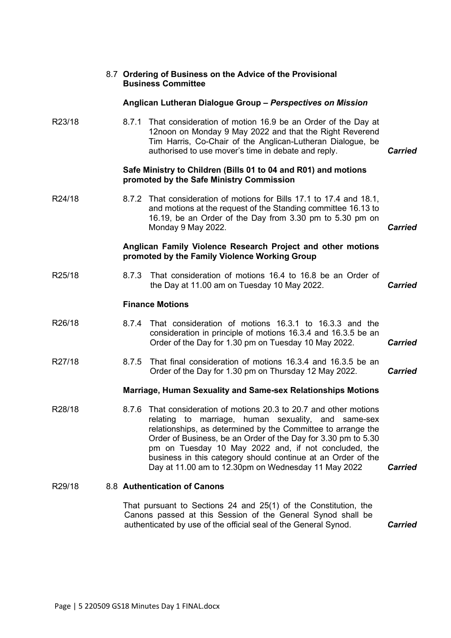|        |       | 8.7 Ordering of Business on the Advice of the Provisional<br><b>Business Committee</b>                                                                                                                                                                                                                                                                                                                                                             |                |
|--------|-------|----------------------------------------------------------------------------------------------------------------------------------------------------------------------------------------------------------------------------------------------------------------------------------------------------------------------------------------------------------------------------------------------------------------------------------------------------|----------------|
|        |       | Anglican Lutheran Dialogue Group - Perspectives on Mission                                                                                                                                                                                                                                                                                                                                                                                         |                |
| R23/18 | 8.7.1 | That consideration of motion 16.9 be an Order of the Day at<br>12noon on Monday 9 May 2022 and that the Right Reverend<br>Tim Harris, Co-Chair of the Anglican-Lutheran Dialogue, be<br>authorised to use mover's time in debate and reply.                                                                                                                                                                                                        | <b>Carried</b> |
|        |       | Safe Ministry to Children (Bills 01 to 04 and R01) and motions<br>promoted by the Safe Ministry Commission                                                                                                                                                                                                                                                                                                                                         |                |
| R24/18 |       | 8.7.2 That consideration of motions for Bills 17.1 to 17.4 and 18.1,<br>and motions at the request of the Standing committee 16.13 to<br>16.19, be an Order of the Day from 3.30 pm to 5.30 pm on<br>Monday 9 May 2022.                                                                                                                                                                                                                            | <b>Carried</b> |
|        |       | Anglican Family Violence Research Project and other motions<br>promoted by the Family Violence Working Group                                                                                                                                                                                                                                                                                                                                       |                |
| R25/18 | 8.7.3 | That consideration of motions 16.4 to 16.8 be an Order of<br>the Day at 11.00 am on Tuesday 10 May 2022.                                                                                                                                                                                                                                                                                                                                           | <b>Carried</b> |
|        |       | <b>Finance Motions</b>                                                                                                                                                                                                                                                                                                                                                                                                                             |                |
| R26/18 | 8.7.4 | That consideration of motions 16.3.1 to 16.3.3 and the<br>consideration in principle of motions 16.3.4 and 16.3.5 be an<br>Order of the Day for 1.30 pm on Tuesday 10 May 2022.                                                                                                                                                                                                                                                                    | <b>Carried</b> |
| R27/18 | 8.7.5 | That final consideration of motions 16.3.4 and 16.3.5 be an<br>Order of the Day for 1.30 pm on Thursday 12 May 2022.                                                                                                                                                                                                                                                                                                                               | <b>Carried</b> |
|        |       | <b>Marriage, Human Sexuality and Same-sex Relationships Motions</b>                                                                                                                                                                                                                                                                                                                                                                                |                |
| R28/18 |       | 8.7.6 That consideration of motions 20.3 to 20.7 and other motions<br>marriage, human sexuality, and<br>relating<br>to<br>same-sex<br>relationships, as determined by the Committee to arrange the<br>Order of Business, be an Order of the Day for 3.30 pm to 5.30<br>pm on Tuesday 10 May 2022 and, if not concluded, the<br>business in this category should continue at an Order of the<br>Day at 11.00 am to 12.30pm on Wednesday 11 May 2022 | <b>Carried</b> |
| R29/18 |       | 8.8 Authentication of Canons                                                                                                                                                                                                                                                                                                                                                                                                                       |                |
|        |       | That pursuant to Sections 24 and 25(1) of the Constitution, the                                                                                                                                                                                                                                                                                                                                                                                    |                |
|        |       | Canons passed at this Session of the General Synod shall be<br>authenticated by use of the official seal of the General Synod.                                                                                                                                                                                                                                                                                                                     | <b>Carried</b> |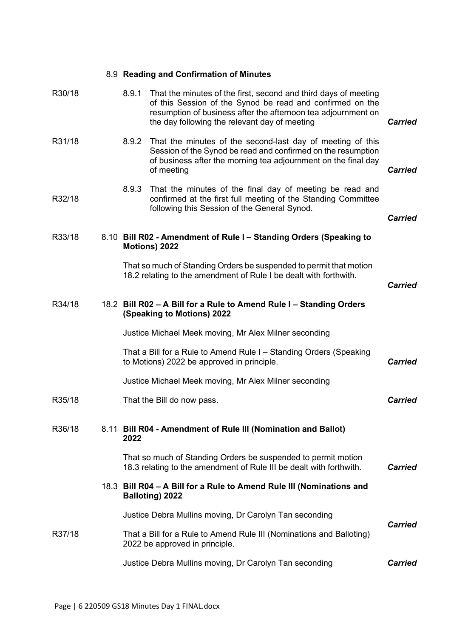|        |       | 8.9 Reading and Confirmation of Minutes                                                                                                                                                                                                        |                |
|--------|-------|------------------------------------------------------------------------------------------------------------------------------------------------------------------------------------------------------------------------------------------------|----------------|
| R30/18 | 8.9.1 | That the minutes of the first, second and third days of meeting<br>of this Session of the Synod be read and confirmed on the<br>resumption of business after the afternoon tea adjournment on<br>the day following the relevant day of meeting | <b>Carried</b> |
| R31/18 | 8.9.2 | That the minutes of the second-last day of meeting of this<br>Session of the Synod be read and confirmed on the resumption<br>of business after the morning tea adjournment on the final day<br>of meeting                                     | <b>Carried</b> |
| R32/18 | 8.9.3 | That the minutes of the final day of meeting be read and<br>confirmed at the first full meeting of the Standing Committee<br>following this Session of the General Synod.                                                                      | <b>Carried</b> |
| R33/18 |       | 8.10 Bill R02 - Amendment of Rule I - Standing Orders (Speaking to<br>Motions) 2022                                                                                                                                                            |                |
|        |       | That so much of Standing Orders be suspended to permit that motion<br>18.2 relating to the amendment of Rule I be dealt with forthwith.                                                                                                        | <b>Carried</b> |
| R34/18 |       | 18.2 Bill R02 - A Bill for a Rule to Amend Rule I - Standing Orders<br>(Speaking to Motions) 2022                                                                                                                                              |                |
|        |       | Justice Michael Meek moving, Mr Alex Milner seconding                                                                                                                                                                                          |                |
|        |       | That a Bill for a Rule to Amend Rule I - Standing Orders (Speaking<br>to Motions) 2022 be approved in principle.                                                                                                                               | <b>Carried</b> |
|        |       | Justice Michael Meek moving, Mr Alex Milner seconding                                                                                                                                                                                          |                |
| R35/18 |       | That the Bill do now pass.                                                                                                                                                                                                                     | <b>Carried</b> |
| R36/18 | 2022  | 8.11 Bill R04 - Amendment of Rule III (Nomination and Ballot)                                                                                                                                                                                  |                |
|        |       | That so much of Standing Orders be suspended to permit motion<br>18.3 relating to the amendment of Rule III be dealt with forthwith.                                                                                                           | <b>Carried</b> |
|        |       | 18.3 Bill R04 - A Bill for a Rule to Amend Rule III (Nominations and<br><b>Balloting) 2022</b>                                                                                                                                                 |                |
|        |       | Justice Debra Mullins moving, Dr Carolyn Tan seconding                                                                                                                                                                                         | <b>Carried</b> |
| R37/18 |       | That a Bill for a Rule to Amend Rule III (Nominations and Balloting)<br>2022 be approved in principle.                                                                                                                                         |                |
|        |       | Justice Debra Mullins moving, Dr Carolyn Tan seconding                                                                                                                                                                                         | <b>Carried</b> |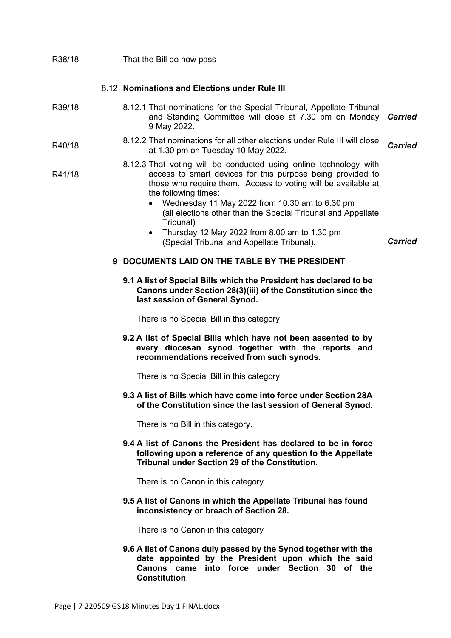| R38/18 | That the Bill do now pass                                                                                                                                                                                                                                                                                                                                                                                                                                          |                |
|--------|--------------------------------------------------------------------------------------------------------------------------------------------------------------------------------------------------------------------------------------------------------------------------------------------------------------------------------------------------------------------------------------------------------------------------------------------------------------------|----------------|
|        | 8.12 Nominations and Elections under Rule III                                                                                                                                                                                                                                                                                                                                                                                                                      |                |
| R39/18 | 8.12.1 That nominations for the Special Tribunal, Appellate Tribunal<br>and Standing Committee will close at 7.30 pm on Monday<br>9 May 2022.                                                                                                                                                                                                                                                                                                                      | <b>Carried</b> |
| R40/18 | 8.12.2 That nominations for all other elections under Rule III will close<br>at 1.30 pm on Tuesday 10 May 2022.                                                                                                                                                                                                                                                                                                                                                    | <b>Carried</b> |
| R41/18 | 8.12.3 That voting will be conducted using online technology with<br>access to smart devices for this purpose being provided to<br>those who require them. Access to voting will be available at<br>the following times:<br>Wednesday 11 May 2022 from 10.30 am to 6.30 pm<br>(all elections other than the Special Tribunal and Appellate<br>Tribunal)<br>Thursday 12 May 2022 from 8.00 am to 1.30 pm<br>$\bullet$<br>(Special Tribunal and Appellate Tribunal). | <b>Carried</b> |
|        | 9 DOCUMENTS LAID ON THE TABLE BY THE PRESIDENT                                                                                                                                                                                                                                                                                                                                                                                                                     |                |
|        | 9.1 A list of Special Bills which the President has declared to be<br>Canons under Section 28(3)(iii) of the Constitution since the<br>last session of General Synod.                                                                                                                                                                                                                                                                                              |                |
|        | There is no Special Bill in this category.                                                                                                                                                                                                                                                                                                                                                                                                                         |                |
|        | 9.2 A list of Special Bills which have not been assented to by<br>every diocesan synod together with the reports and<br>recommendations received from such synods.                                                                                                                                                                                                                                                                                                 |                |
|        | There is no Special Bill in this category.                                                                                                                                                                                                                                                                                                                                                                                                                         |                |
|        | 9.3 A list of Bills which have come into force under Section 28A<br>of the Constitution since the last session of General Synod.                                                                                                                                                                                                                                                                                                                                   |                |
|        | There is no Bill in this category.                                                                                                                                                                                                                                                                                                                                                                                                                                 |                |
|        | 9.4 A list of Canons the President has declared to be in force<br>following upon a reference of any question to the Appellate<br><b>Tribunal under Section 29 of the Constitution.</b>                                                                                                                                                                                                                                                                             |                |
|        | There is no Canon in this category.                                                                                                                                                                                                                                                                                                                                                                                                                                |                |
|        | 9.5 A list of Canons in which the Appellate Tribunal has found<br>inconsistency or breach of Section 28.                                                                                                                                                                                                                                                                                                                                                           |                |
|        | There is no Canon in this category                                                                                                                                                                                                                                                                                                                                                                                                                                 |                |
|        | 9.6 A list of Canons duly passed by the Synod together with the<br>date appointed by the President upon which the said<br>Canons came into force under Section 30 of the<br><b>Constitution.</b>                                                                                                                                                                                                                                                                   |                |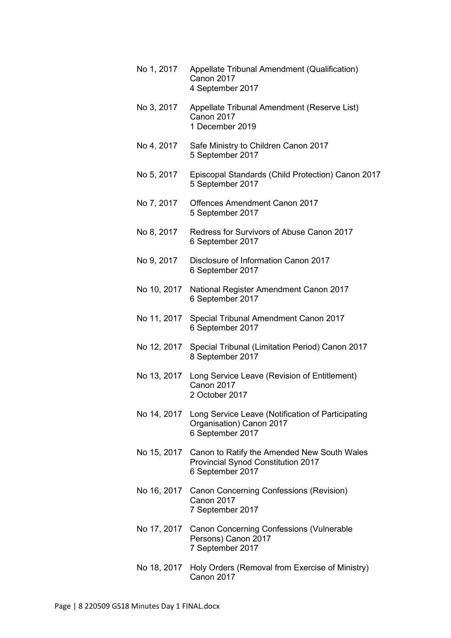| No 1, 2017  | Appellate Tribunal Amendment (Qualification)<br>Canon 2017<br>4 September 2017                                    |
|-------------|-------------------------------------------------------------------------------------------------------------------|
| No 3, 2017  | Appellate Tribunal Amendment (Reserve List)<br>Canon 2017<br>1 December 2019                                      |
| No 4, 2017  | Safe Ministry to Children Canon 2017<br>5 September 2017                                                          |
| No 5, 2017  | Episcopal Standards (Child Protection) Canon 2017<br>5 September 2017                                             |
| No 7, 2017  | <b>Offences Amendment Canon 2017</b><br>5 September 2017                                                          |
| No 8, 2017  | Redress for Survivors of Abuse Canon 2017<br>6 September 2017                                                     |
| No 9, 2017  | Disclosure of Information Canon 2017<br>6 September 2017                                                          |
|             | No 10, 2017 National Register Amendment Canon 2017<br>6 September 2017                                            |
| No 11, 2017 | Special Tribunal Amendment Canon 2017<br>6 September 2017                                                         |
| No 12, 2017 | Special Tribunal (Limitation Period) Canon 2017<br>8 September 2017                                               |
|             | No 13, 2017 Long Service Leave (Revision of Entitlement)<br>Canon 2017<br>2 October 2017                          |
|             | No 14, 2017 Long Service Leave (Notification of Participating<br>Organisation) Canon 2017<br>6 September 2017     |
|             | No 15, 2017 Canon to Ratify the Amended New South Wales<br>Provincial Synod Constitution 2017<br>6 September 2017 |
|             | No 16, 2017 Canon Concerning Confessions (Revision)<br>Canon 2017<br>7 September 2017                             |
|             | No 17, 2017 Canon Concerning Confessions (Vulnerable<br>Persons) Canon 2017<br>7 September 2017                   |
| No 18, 2017 | Holy Orders (Removal from Exercise of Ministry)<br>Canon 2017                                                     |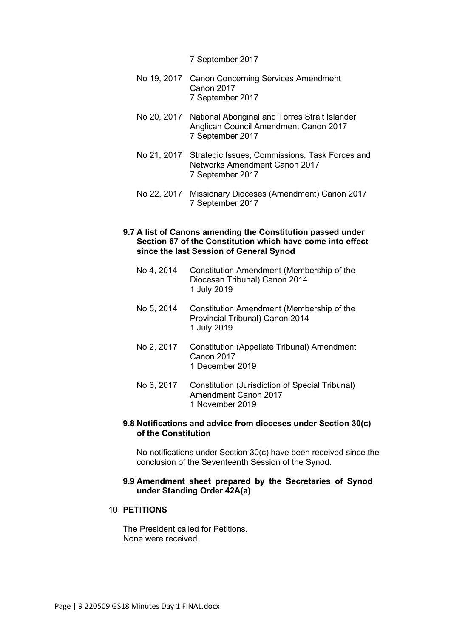#### 7 September 2017

- No 19, 2017 Canon Concerning Services Amendment Canon 2017 7 September 2017
- No 20, 2017 National Aboriginal and Torres Strait Islander Anglican Council Amendment Canon 2017 7 September 2017
- No 21, 2017 Strategic Issues, Commissions, Task Forces and Networks Amendment Canon 2017 7 September 2017
- No 22, 2017 Missionary Dioceses (Amendment) Canon 2017 7 September 2017

## **9.7 A list of Canons amending the Constitution passed under Section 67 of the Constitution which have come into effect since the last Session of General Synod**

- No 4, 2014 Constitution Amendment (Membership of the Diocesan Tribunal) Canon 2014 1 July 2019
- No 5, 2014 Constitution Amendment (Membership of the Provincial Tribunal) Canon 2014 1 July 2019
- No 2, 2017 Constitution (Appellate Tribunal) Amendment Canon 2017 1 December 2019
- No 6, 2017 Constitution (Jurisdiction of Special Tribunal) Amendment Canon 2017 1 November 2019

### **9.8 Notifications and advice from dioceses under Section 30(c) of the Constitution**

No notifications under Section 30(c) have been received since the conclusion of the Seventeenth Session of the Synod.

### **9.9 Amendment sheet prepared by the Secretaries of Synod under Standing Order 42A(a)**

## 10 **PETITIONS**

The President called for Petitions. None were received.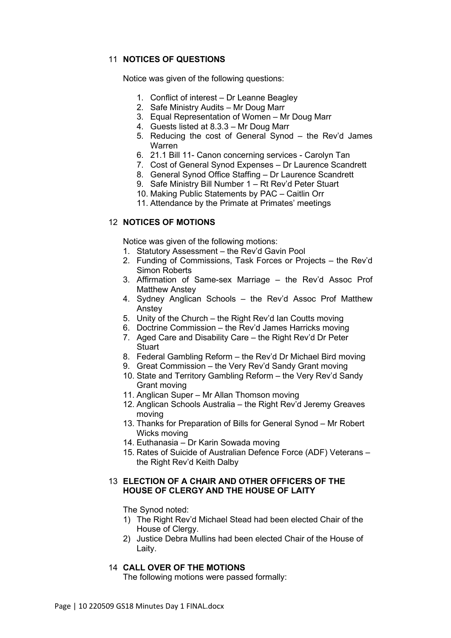## 11 **NOTICES OF QUESTIONS**

Notice was given of the following questions:

- 1. Conflict of interest Dr Leanne Beagley
- 2. Safe Ministry Audits Mr Doug Marr
- 3. Equal Representation of Women Mr Doug Marr
- 4. Guests listed at 8.3.3 Mr Doug Marr
- 5. Reducing the cost of General Synod the Rev'd James Warren
- 6. 21.1 Bill 11- Canon concerning services Carolyn Tan
- 7. Cost of General Synod Expenses Dr Laurence Scandrett
- 8. General Synod Office Staffing Dr Laurence Scandrett
- 9. Safe Ministry Bill Number 1 Rt Rev'd Peter Stuart
- 10. Making Public Statements by PAC Caitlin Orr
- 11. Attendance by the Primate at Primates' meetings

## 12 **NOTICES OF MOTIONS**

Notice was given of the following motions:

- 1. Statutory Assessment the Rev'd Gavin Pool
- 2. Funding of Commissions, Task Forces or Projects the Rev'd Simon Roberts
- 3. Affirmation of Same-sex Marriage the Rev'd Assoc Prof Matthew Anstey
- 4. Sydney Anglican Schools the Rev'd Assoc Prof Matthew Anstey
- 5. Unity of the Church the Right Rev'd Ian Coutts moving
- 6. Doctrine Commission the Rev'd James Harricks moving
- 7. Aged Care and Disability Care the Right Rev'd Dr Peter **Stuart**
- 8. Federal Gambling Reform the Rev'd Dr Michael Bird moving
- 9. Great Commission the Very Rev'd Sandy Grant moving
- 10. State and Territory Gambling Reform the Very Rev'd Sandy Grant moving
- 11. Anglican Super Mr Allan Thomson moving
- 12. Anglican Schools Australia the Right Rev'd Jeremy Greaves moving
- 13. Thanks for Preparation of Bills for General Synod Mr Robert Wicks moving
- 14. Euthanasia Dr Karin Sowada moving
- 15. Rates of Suicide of Australian Defence Force (ADF) Veterans the Right Rev'd Keith Dalby

## 13 **ELECTION OF A CHAIR AND OTHER OFFICERS OF THE HOUSE OF CLERGY AND THE HOUSE OF LAITY**

The Synod noted:

- 1) The Right Rev'd Michael Stead had been elected Chair of the House of Clergy.
- 2) Justice Debra Mullins had been elected Chair of the House of Laity.

## 14 **CALL OVER OF THE MOTIONS**

The following motions were passed formally: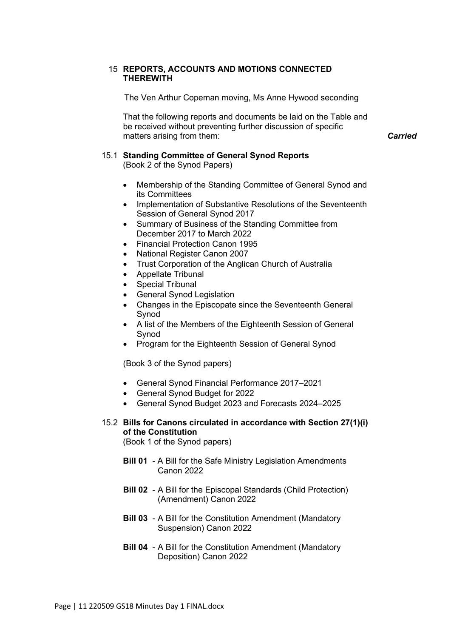## 15 **REPORTS, ACCOUNTS AND MOTIONS CONNECTED THEREWITH**

The Ven Arthur Copeman moving, Ms Anne Hywood seconding

That the following reports and documents be laid on the Table and be received without preventing further discussion of specific matters arising from them: *Carried*

15.1 **Standing Committee of General Synod Reports** 

(Book 2 of the Synod Papers)

- Membership of the Standing Committee of General Synod and its Committees
- Implementation of Substantive Resolutions of the Seventeenth Session of General Synod 2017
- Summary of Business of the Standing Committee from December 2017 to March 2022
- Financial Protection Canon 1995
- National Register Canon 2007
- Trust Corporation of the Anglican Church of Australia
- Appellate Tribunal
- **Special Tribunal**
- General Synod Legislation
- Changes in the Episcopate since the Seventeenth General Synod
- A list of the Members of the Eighteenth Session of General Synod
- Program for the Eighteenth Session of General Synod

(Book 3 of the Synod papers)

- General Synod Financial Performance 2017–2021
- General Synod Budget for 2022
- General Synod Budget 2023 and Forecasts 2024–2025
- 15.2 **Bills for Canons circulated in accordance with Section 27(1)(i) of the Constitution**

(Book 1 of the Synod papers)

- **Bill 01** A Bill for the Safe Ministry Legislation Amendments Canon 2022
- **Bill 02** A Bill for the Episcopal Standards (Child Protection) (Amendment) Canon 2022
- **Bill 03** A Bill for the Constitution Amendment (Mandatory Suspension) Canon 2022
- **Bill 04** A Bill for the Constitution Amendment (Mandatory Deposition) Canon 2022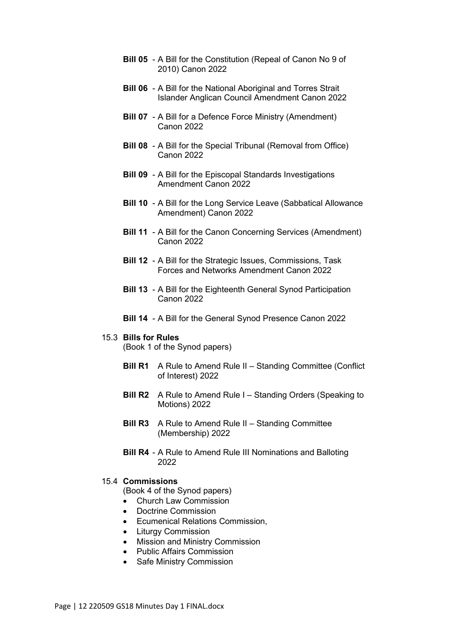- **Bill 05** A Bill for the Constitution (Repeal of Canon No 9 of 2010) Canon 2022
- **Bill 06** A Bill for the National Aboriginal and Torres Strait Islander Anglican Council Amendment Canon 2022
- **Bill 07** A Bill for a Defence Force Ministry (Amendment) Canon 2022
- **Bill 08** A Bill for the Special Tribunal (Removal from Office) Canon 2022
- **Bill 09** A Bill for the Episcopal Standards Investigations Amendment Canon 2022
- **Bill 10** A Bill for the Long Service Leave (Sabbatical Allowance Amendment) Canon 2022
- **Bill 11** A Bill for the Canon Concerning Services (Amendment) Canon 2022
- **Bill 12** A Bill for the Strategic Issues, Commissions, Task Forces and Networks Amendment Canon 2022
- **Bill 13** A Bill for the Eighteenth General Synod Participation Canon 2022
- **Bill 14** A Bill for the General Synod Presence Canon 2022

### 15.3 **Bills for Rules**

(Book 1 of the Synod papers)

- **Bill R1** A Rule to Amend Rule II Standing Committee (Conflict of Interest) 2022
- **Bill R2** A Rule to Amend Rule I Standing Orders (Speaking to Motions) 2022
- **Bill R3** A Rule to Amend Rule II Standing Committee (Membership) 2022
- **Bill R4** A Rule to Amend Rule III Nominations and Balloting 2022

### 15.4 **Commissions**

(Book 4 of the Synod papers)

- Church Law Commission
- Doctrine Commission
- Ecumenical Relations Commission,
- Liturgy Commission
- Mission and Ministry Commission
- Public Affairs Commission
- Safe Ministry Commission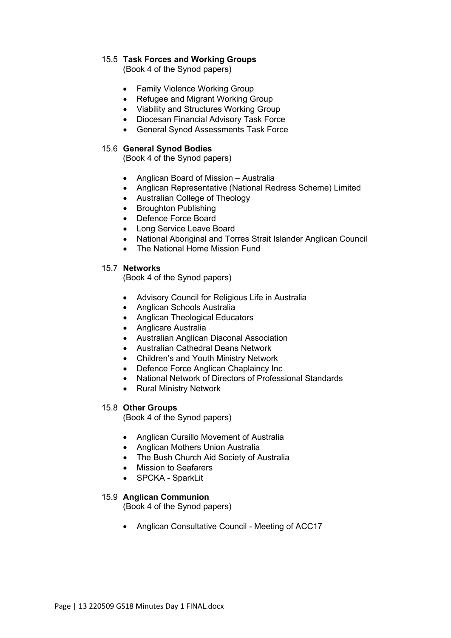## 15.5 **Task Forces and Working Groups**

(Book 4 of the Synod papers)

- Family Violence Working Group
- Refugee and Migrant Working Group
- Viability and Structures Working Group
- Diocesan Financial Advisory Task Force
- General Synod Assessments Task Force

## 15.6 **General Synod Bodies**

(Book 4 of the Synod papers)

- Anglican Board of Mission Australia
- Anglican Representative (National Redress Scheme) Limited
- Australian College of Theology
- Broughton Publishing
- Defence Force Board
- Long Service Leave Board
- National Aboriginal and Torres Strait Islander Anglican Council
- The National Home Mission Fund

## 15.7 **Networks**

(Book 4 of the Synod papers)

- Advisory Council for Religious Life in Australia
- Anglican Schools Australia
- Anglican Theological Educators
- Anglicare Australia
- Australian Anglican Diaconal Association
- Australian Cathedral Deans Network
- Children's and Youth Ministry Network
- Defence Force Anglican Chaplaincy Inc
- National Network of Directors of Professional Standards
- Rural Ministry Network

## 15.8 **Other Groups**

(Book 4 of the Synod papers)

- Anglican Cursillo Movement of Australia
- Anglican Mothers Union Australia
- The Bush Church Aid Society of Australia
- Mission to Seafarers
- SPCKA SparkLit

## 15.9 **Anglican Communion**

(Book 4 of the Synod papers)

• Anglican Consultative Council - Meeting of ACC17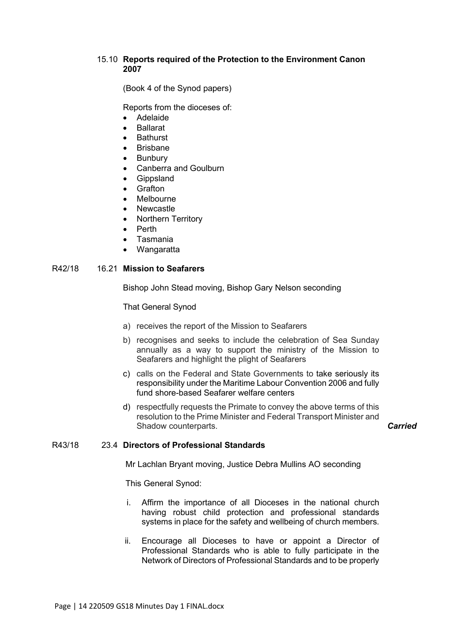## 15.10 **Reports required of the Protection to the Environment Canon 2007**

(Book 4 of the Synod papers)

Reports from the dioceses of:

- Adelaide
- **Ballarat**
- **Bathurst**
- **Brisbane**
- **Bunbury**
- Canberra and Goulburn
- **Gippsland**
- **Grafton**
- **Melbourne**
- Newcastle
- Northern Territory
- Perth
- Tasmania
- Wangaratta

### R42/18 16.21 **Mission to Seafarers**

Bishop John Stead moving, Bishop Gary Nelson seconding

That General Synod

- a) receives the report of the Mission to Seafarers
- b) recognises and seeks to include the celebration of Sea Sunday annually as a way to support the ministry of the Mission to Seafarers and highlight the plight of Seafarers
- c) calls on the Federal and State Governments to take seriously its responsibility under the Maritime Labour Convention 2006 and fully fund shore-based Seafarer welfare centers
- d) respectfully requests the Primate to convey the above terms of this resolution to the Prime Minister and Federal Transport Minister and Shadow counterparts. *Carried*

## R43/18 23.4 **Directors of Professional Standards**

Mr Lachlan Bryant moving, Justice Debra Mullins AO seconding

This General Synod:

- i. Affirm the importance of all Dioceses in the national church having robust child protection and professional standards systems in place for the safety and wellbeing of church members.
- ii. Encourage all Dioceses to have or appoint a Director of Professional Standards who is able to fully participate in the Network of Directors of Professional Standards and to be properly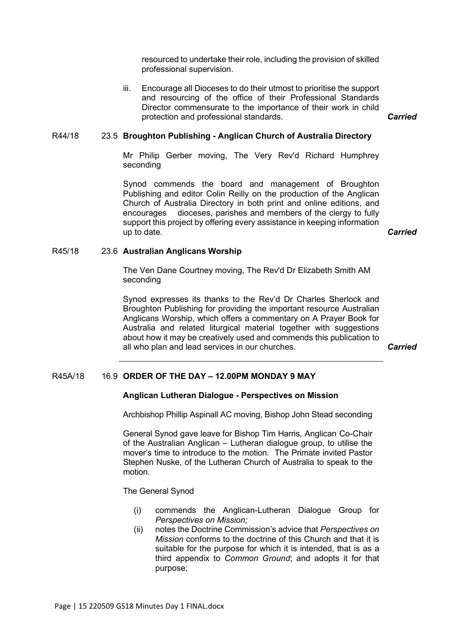resourced to undertake their role, including the provision of skilled professional supervision.

iii. Encourage all Dioceses to do their utmost to prioritise the support and resourcing of the office of their Professional Standards Director commensurate to the importance of their work in child protection and professional standards. *Carried*

### R44/18 23.5 **Broughton Publishing - Anglican Church of Australia Directory**

Mr Philip Gerber moving, The Very Rev'd Richard Humphrey seconding

Synod commends the board and management of Broughton Publishing and editor Colin Reilly on the production of the Anglican Church of Australia Directory in both print and online editions, and encourages dioceses, parishes and members of the clergy to fully support this project by offering every assistance in keeping information up to date. *Carried*

#### R45/18 23.6 **Australian Anglicans Worship**

The Ven Dane Courtney moving, The Rev'd Dr Elizabeth Smith AM seconding

Synod expresses its thanks to the Rev'd Dr Charles Sherlock and Broughton Publishing for providing the important resource Australian Anglicans Worship, which offers a commentary on A Prayer Book for Australia and related liturgical material together with suggestions about how it may be creatively used and commends this publication to all who plan and lead services in our churches. *Carried*

#### R45A/18 16.9 **ORDER OF THE DAY – 12.00PM MONDAY 9 MAY**

#### **Anglican Lutheran Dialogue - Perspectives on Mission**

Archbishop Phillip Aspinall AC moving, Bishop John Stead seconding

General Synod gave leave for Bishop Tim Harris, Anglican Co-Chair of the Australian Anglican – Lutheran dialogue group, to utilise the mover's time to introduce to the motion. The Primate invited Pastor Stephen Nuske, of the Lutheran Church of Australia to speak to the motion.

The General Synod

- (i) commends the Anglican-Lutheran Dialogue Group for *Perspectives on Mission;*
- (ii) notes the Doctrine Commission's advice that *Perspectives on Mission* conforms to the doctrine of this Church and that it is suitable for the purpose for which it is intended, that is as a third appendix to *Common Ground*; and adopts it for that purpose;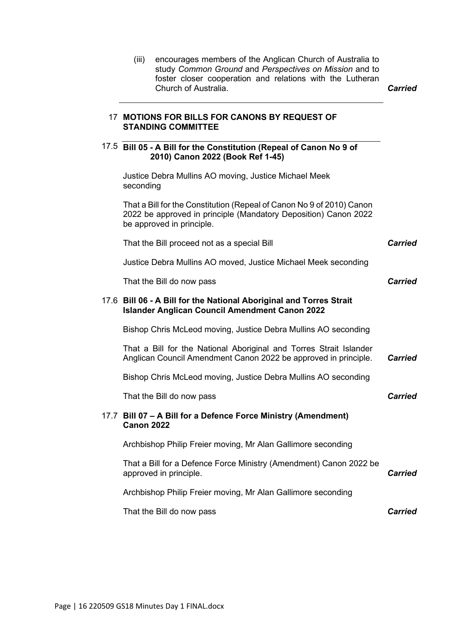| (iii)             | encourages members of the Anglican Church of Australia to<br>study Common Ground and Perspectives on Mission and to<br>foster closer cooperation and relations with the Lutheran<br>Church of Australia. | <b>Carried</b> |
|-------------------|----------------------------------------------------------------------------------------------------------------------------------------------------------------------------------------------------------|----------------|
|                   | 17 MOTIONS FOR BILLS FOR CANONS BY REQUEST OF<br><b>STANDING COMMITTEE</b>                                                                                                                               |                |
|                   | 17.5 Bill 05 - A Bill for the Constitution (Repeal of Canon No 9 of<br>2010) Canon 2022 (Book Ref 1-45)                                                                                                  |                |
| seconding         | Justice Debra Mullins AO moving, Justice Michael Meek                                                                                                                                                    |                |
|                   | That a Bill for the Constitution (Repeal of Canon No 9 of 2010) Canon<br>2022 be approved in principle (Mandatory Deposition) Canon 2022<br>be approved in principle.                                    |                |
|                   | That the Bill proceed not as a special Bill                                                                                                                                                              | <b>Carried</b> |
|                   | Justice Debra Mullins AO moved, Justice Michael Meek seconding                                                                                                                                           |                |
|                   | That the Bill do now pass                                                                                                                                                                                | <b>Carried</b> |
|                   | 17.6 Bill 06 - A Bill for the National Aboriginal and Torres Strait<br><b>Islander Anglican Council Amendment Canon 2022</b>                                                                             |                |
|                   | Bishop Chris McLeod moving, Justice Debra Mullins AO seconding                                                                                                                                           |                |
|                   | That a Bill for the National Aboriginal and Torres Strait Islander<br>Anglican Council Amendment Canon 2022 be approved in principle.                                                                    | <b>Carried</b> |
|                   | Bishop Chris McLeod moving, Justice Debra Mullins AO seconding                                                                                                                                           |                |
|                   | That the Bill do now pass                                                                                                                                                                                | <b>Carried</b> |
| <b>Canon 2022</b> | 17.7 Bill 07 - A Bill for a Defence Force Ministry (Amendment)                                                                                                                                           |                |
|                   | Archbishop Philip Freier moving, Mr Alan Gallimore seconding                                                                                                                                             |                |
|                   | That a Bill for a Defence Force Ministry (Amendment) Canon 2022 be<br>approved in principle.                                                                                                             | <b>Carried</b> |
|                   | Archbishop Philip Freier moving, Mr Alan Gallimore seconding                                                                                                                                             |                |
|                   | That the Bill do now pass                                                                                                                                                                                | <b>Carried</b> |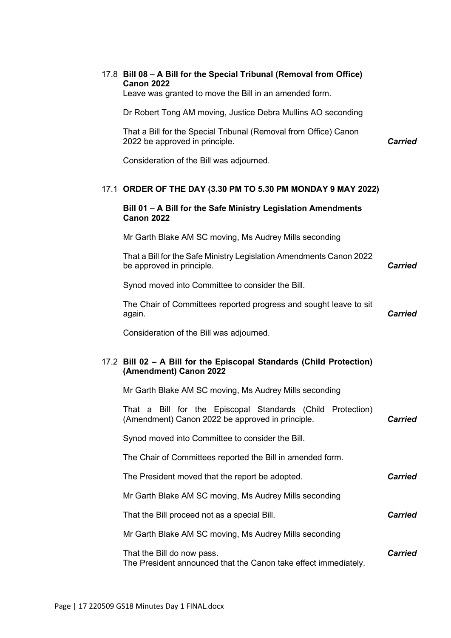|  | 17.8 Bill 08 - A Bill for the Special Tribunal (Removal from Office)<br><b>Canon 2022</b><br>Leave was granted to move the Bill in an amended form. |                |
|--|-----------------------------------------------------------------------------------------------------------------------------------------------------|----------------|
|  | Dr Robert Tong AM moving, Justice Debra Mullins AO seconding                                                                                        |                |
|  | That a Bill for the Special Tribunal (Removal from Office) Canon<br>2022 be approved in principle.                                                  | <b>Carried</b> |
|  | Consideration of the Bill was adjourned.                                                                                                            |                |
|  | 17.1 ORDER OF THE DAY (3.30 PM TO 5.30 PM MONDAY 9 MAY 2022)                                                                                        |                |
|  | Bill 01 - A Bill for the Safe Ministry Legislation Amendments<br><b>Canon 2022</b>                                                                  |                |
|  | Mr Garth Blake AM SC moving, Ms Audrey Mills seconding                                                                                              |                |
|  | That a Bill for the Safe Ministry Legislation Amendments Canon 2022<br>be approved in principle.                                                    | <b>Carried</b> |
|  | Synod moved into Committee to consider the Bill.                                                                                                    |                |
|  | The Chair of Committees reported progress and sought leave to sit<br>again.                                                                         | <b>Carried</b> |
|  | Consideration of the Bill was adjourned.                                                                                                            |                |
|  | 17.2 Bill 02 - A Bill for the Episcopal Standards (Child Protection)<br>(Amendment) Canon 2022                                                      |                |
|  | Mr Garth Blake AM SC moving, Ms Audrey Mills seconding                                                                                              |                |
|  | That a Bill for the Episcopal Standards (Child Protection)<br>(Amendment) Canon 2022 be approved in principle.                                      | <b>Carried</b> |
|  | Synod moved into Committee to consider the Bill.                                                                                                    |                |
|  | The Chair of Committees reported the Bill in amended form.                                                                                          |                |
|  | The President moved that the report be adopted.                                                                                                     | <b>Carried</b> |
|  | Mr Garth Blake AM SC moving, Ms Audrey Mills seconding                                                                                              |                |
|  | That the Bill proceed not as a special Bill.                                                                                                        | <b>Carried</b> |
|  | Mr Garth Blake AM SC moving, Ms Audrey Mills seconding                                                                                              |                |
|  | That the Bill do now pass.<br>The President announced that the Canon take effect immediately.                                                       | <b>Carried</b> |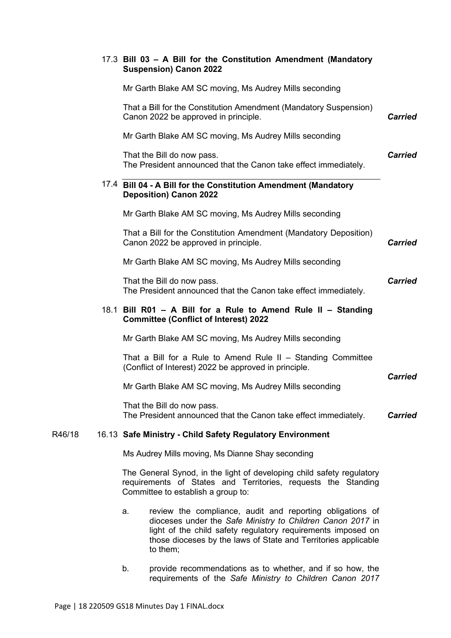|        | 17.3 Bill 03 - A Bill for the Constitution Amendment (Mandatory<br><b>Suspension) Canon 2022</b>                                                                                                                                                                            |                |
|--------|-----------------------------------------------------------------------------------------------------------------------------------------------------------------------------------------------------------------------------------------------------------------------------|----------------|
|        | Mr Garth Blake AM SC moving, Ms Audrey Mills seconding                                                                                                                                                                                                                      |                |
|        | That a Bill for the Constitution Amendment (Mandatory Suspension)<br>Canon 2022 be approved in principle.                                                                                                                                                                   | <b>Carried</b> |
|        | Mr Garth Blake AM SC moving, Ms Audrey Mills seconding                                                                                                                                                                                                                      |                |
|        | That the Bill do now pass.<br>The President announced that the Canon take effect immediately.                                                                                                                                                                               | <b>Carried</b> |
|        | 17.4 Bill 04 - A Bill for the Constitution Amendment (Mandatory<br><b>Deposition) Canon 2022</b>                                                                                                                                                                            |                |
|        | Mr Garth Blake AM SC moving, Ms Audrey Mills seconding                                                                                                                                                                                                                      |                |
|        | That a Bill for the Constitution Amendment (Mandatory Deposition)<br>Canon 2022 be approved in principle.                                                                                                                                                                   | <b>Carried</b> |
|        | Mr Garth Blake AM SC moving, Ms Audrey Mills seconding                                                                                                                                                                                                                      |                |
|        | That the Bill do now pass.<br>The President announced that the Canon take effect immediately.                                                                                                                                                                               | <b>Carried</b> |
|        | 18.1 Bill R01 - A Bill for a Rule to Amend Rule II - Standing<br><b>Committee (Conflict of Interest) 2022</b>                                                                                                                                                               |                |
|        | Mr Garth Blake AM SC moving, Ms Audrey Mills seconding                                                                                                                                                                                                                      |                |
|        | That a Bill for a Rule to Amend Rule II $-$ Standing Committee<br>(Conflict of Interest) 2022 be approved in principle.                                                                                                                                                     | <b>Carried</b> |
|        | Mr Garth Blake AM SC moving, Ms Audrey Mills seconding                                                                                                                                                                                                                      |                |
|        | That the Bill do now pass.<br>The President announced that the Canon take effect immediately.                                                                                                                                                                               | <b>Carried</b> |
| R46/18 | 16.13 Safe Ministry - Child Safety Regulatory Environment                                                                                                                                                                                                                   |                |
|        | Ms Audrey Mills moving, Ms Dianne Shay seconding                                                                                                                                                                                                                            |                |
|        | The General Synod, in the light of developing child safety regulatory<br>requirements of States and Territories, requests the Standing<br>Committee to establish a group to:                                                                                                |                |
|        | review the compliance, audit and reporting obligations of<br>a.<br>dioceses under the Safe Ministry to Children Canon 2017 in<br>light of the child safety regulatory requirements imposed on<br>those dioceses by the laws of State and Territories applicable<br>to them; |                |

b. provide recommendations as to whether, and if so how, the requirements of the *Safe Ministry to Children Canon 2017*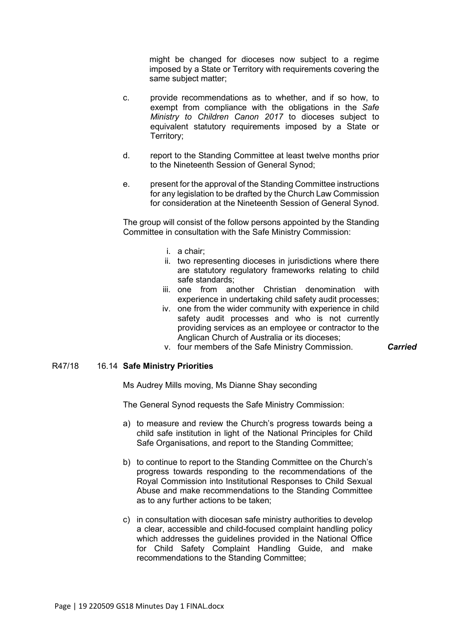might be changed for dioceses now subject to a regime imposed by a State or Territory with requirements covering the same subject matter;

- c. provide recommendations as to whether, and if so how, to exempt from compliance with the obligations in the *Safe Ministry to Children Canon 2017* to dioceses subject to equivalent statutory requirements imposed by a State or Territory;
- d. report to the Standing Committee at least twelve months prior to the Nineteenth Session of General Synod;
- e. present for the approval of the Standing Committee instructions for any legislation to be drafted by the Church Law Commission for consideration at the Nineteenth Session of General Synod.

The group will consist of the follow persons appointed by the Standing Committee in consultation with the Safe Ministry Commission:

- i. a chair;
- ii. two representing dioceses in jurisdictions where there are statutory regulatory frameworks relating to child safe standards;
- iii. one from another Christian denomination with experience in undertaking child safety audit processes;
- iv. one from the wider community with experience in child safety audit processes and who is not currently providing services as an employee or contractor to the Anglican Church of Australia or its dioceses;
- v. four members of the Safe Ministry Commission. *Carried*

## R47/18 16.14 **Safe Ministry Priorities**

Ms Audrey Mills moving, Ms Dianne Shay seconding

The General Synod requests the Safe Ministry Commission:

- a) to measure and review the Church's progress towards being a child safe institution in light of the National Principles for Child Safe Organisations, and report to the Standing Committee;
- b) to continue to report to the Standing Committee on the Church's progress towards responding to the recommendations of the Royal Commission into Institutional Responses to Child Sexual Abuse and make recommendations to the Standing Committee as to any further actions to be taken;
- c) in consultation with diocesan safe ministry authorities to develop a clear, accessible and child-focused complaint handling policy which addresses the guidelines provided in the National Office for Child Safety Complaint Handling Guide, and make recommendations to the Standing Committee;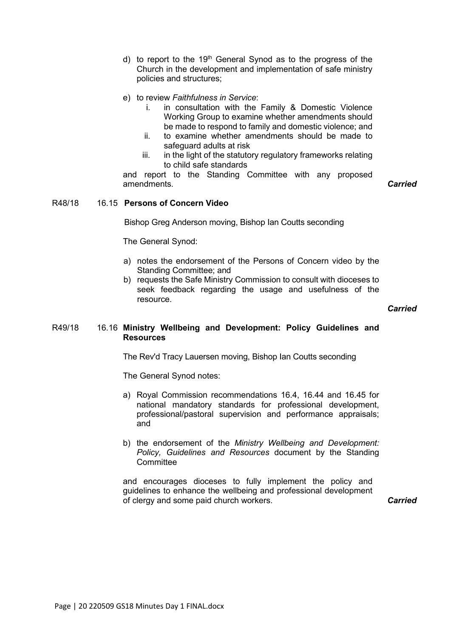- d) to report to the 19<sup>th</sup> General Synod as to the progress of the Church in the development and implementation of safe ministry policies and structures;
- e) to review *Faithfulness in Service*:
	- i. in consultation with the Family & Domestic Violence Working Group to examine whether amendments should be made to respond to family and domestic violence; and
	- ii. to examine whether amendments should be made to safeguard adults at risk
	- iii. in the light of the statutory regulatory frameworks relating to child safe standards

and report to the Standing Committee with any proposed amendments. *Carried*

## R48/18 16.15 **Persons of Concern Video**

Bishop Greg Anderson moving, Bishop Ian Coutts seconding

The General Synod:

- a) notes the endorsement of the Persons of Concern video by the Standing Committee; and
- b) requests the Safe Ministry Commission to consult with dioceses to seek feedback regarding the usage and usefulness of the resource.

*Carried*

### R49/18 16.16 **Ministry Wellbeing and Development: Policy Guidelines and Resources**

The Rev'd Tracy Lauersen moving, Bishop Ian Coutts seconding

The General Synod notes:

- a) Royal Commission recommendations 16.4, 16.44 and 16.45 for national mandatory standards for professional development, professional/pastoral supervision and performance appraisals; and
- b) the endorsement of the *Ministry Wellbeing and Development: Policy, Guidelines and Resources* document by the Standing **Committee**

and encourages dioceses to fully implement the policy and guidelines to enhance the wellbeing and professional development of clergy and some paid church workers. *Carried*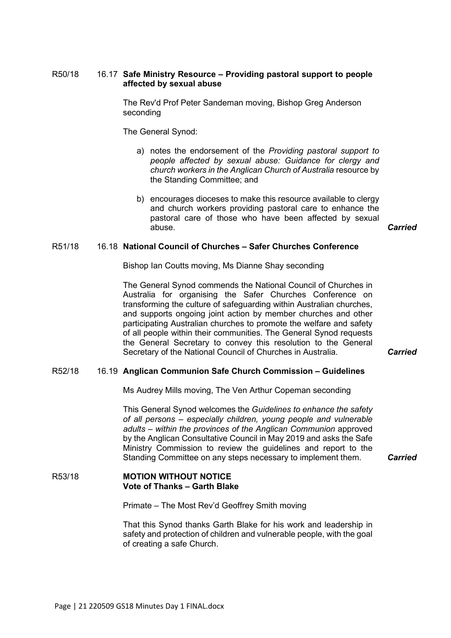The Rev'd Prof Peter Sandeman moving, Bishop Greg Anderson seconding

The General Synod:

- a) notes the endorsement of the *Providing pastoral support to people affected by sexual abuse: Guidance for clergy and church workers in the Anglican Church of Australia* resource by the Standing Committee; and
- b) encourages dioceses to make this resource available to clergy and church workers providing pastoral care to enhance the pastoral care of those who have been affected by sexual abuse. *Carried*

#### R51/18 16.18 **National Council of Churches – Safer Churches Conference**

Bishop Ian Coutts moving, Ms Dianne Shay seconding

The General Synod commends the National Council of Churches in Australia for organising the Safer Churches Conference on transforming the culture of safeguarding within Australian churches, and supports ongoing joint action by member churches and other participating Australian churches to promote the welfare and safety of all people within their communities. The General Synod requests the General Secretary to convey this resolution to the General Secretary of the National Council of Churches in Australia. *Carried*

## R52/18 16.19 **Anglican Communion Safe Church Commission – Guidelines**

Ms Audrey Mills moving, The Ven Arthur Copeman seconding

This General Synod welcomes the *Guidelines to enhance the safety of all persons – especially children, young people and vulnerable adults – within the provinces of the Anglican Communion* approved by the Anglican Consultative Council in May 2019 and asks the Safe Ministry Commission to review the guidelines and report to the Standing Committee on any steps necessary to implement them. *Carried*

### R53/18 **MOTION WITHOUT NOTICE Vote of Thanks – Garth Blake**

Primate – The Most Rev'd Geoffrey Smith moving

That this Synod thanks Garth Blake for his work and leadership in safety and protection of children and vulnerable people, with the goal of creating a safe Church.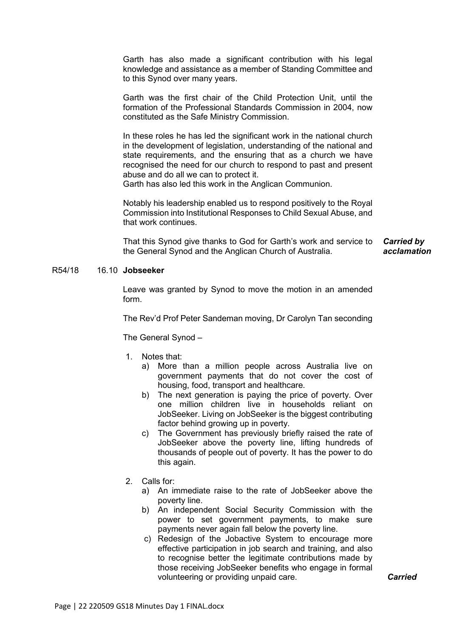Garth has also made a significant contribution with his legal knowledge and assistance as a member of Standing Committee and to this Synod over many years.

Garth was the first chair of the Child Protection Unit, until the formation of the Professional Standards Commission in 2004, now constituted as the Safe Ministry Commission.

In these roles he has led the significant work in the national church in the development of legislation, understanding of the national and state requirements, and the ensuring that as a church we have recognised the need for our church to respond to past and present abuse and do all we can to protect it.

Garth has also led this work in the Anglican Communion.

Notably his leadership enabled us to respond positively to the Royal Commission into Institutional Responses to Child Sexual Abuse, and that work continues.

That this Synod give thanks to God for Garth's work and service to the General Synod and the Anglican Church of Australia. *Carried by acclamation*

## R54/18 16.10 **Jobseeker**

Leave was granted by Synod to move the motion in an amended form.

The Rev'd Prof Peter Sandeman moving, Dr Carolyn Tan seconding

The General Synod –

- 1. Notes that:
	- a) More than a million people across Australia live on government payments that do not cover the cost of housing, food, transport and healthcare.
	- b) The next generation is paying the price of poverty. Over one million children live in households reliant on JobSeeker. Living on JobSeeker is the biggest contributing factor behind growing up in poverty.
	- c) The Government has previously briefly raised the rate of JobSeeker above the poverty line, lifting hundreds of thousands of people out of poverty. It has the power to do this again.
- 2. Calls for:
	- a) An immediate raise to the rate of JobSeeker above the poverty line.
	- b) An independent Social Security Commission with the power to set government payments, to make sure payments never again fall below the poverty line.
	- c) Redesign of the Jobactive System to encourage more effective participation in job search and training, and also to recognise better the legitimate contributions made by those receiving JobSeeker benefits who engage in formal volunteering or providing unpaid care. *Carried*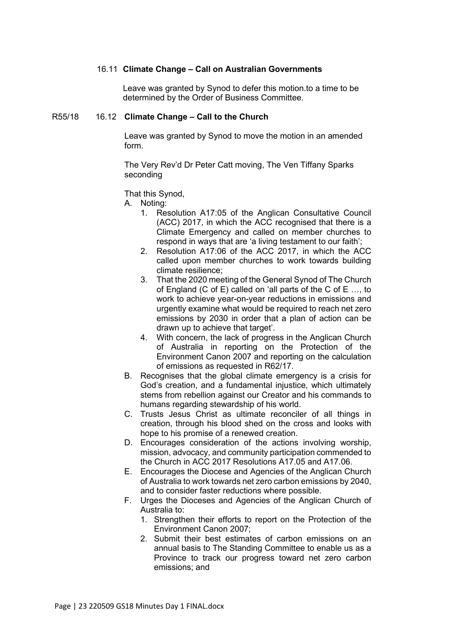## 16.11 **Climate Change – Call on Australian Governments**

Leave was granted by Synod to defer this motion.to a time to be determined by the Order of Business Committee.

#### R55/18 16.12 **Climate Change – Call to the Church**

Leave was granted by Synod to move the motion in an amended form.

The Very Rev'd Dr Peter Catt moving, The Ven Tiffany Sparks seconding

That this Synod,

A. Noting:

- 1. Resolution A17:05 of the Anglican Consultative Council (ACC) 2017, in which the ACC recognised that there is a Climate Emergency and called on member churches to respond in ways that are 'a living testament to our faith';
- 2. Resolution A17:06 of the ACC 2017, in which the ACC called upon member churches to work towards building climate resilience;
- 3. That the 2020 meeting of the General Synod of The Church of England (C of E) called on 'all parts of the C of E …, to work to achieve year-on-year reductions in emissions and urgently examine what would be required to reach net zero emissions by 2030 in order that a plan of action can be drawn up to achieve that target'.
- 4. With concern, the lack of progress in the Anglican Church of Australia in reporting on the Protection of the Environment Canon 2007 and reporting on the calculation of emissions as requested in R62/17.
- B. Recognises that the global climate emergency is a crisis for God's creation, and a fundamental injustice, which ultimately stems from rebellion against our Creator and his commands to humans regarding stewardship of his world.
- C. Trusts Jesus Christ as ultimate reconciler of all things in creation, through his blood shed on the cross and looks with hope to his promise of a renewed creation.
- D. Encourages consideration of the actions involving worship, mission, advocacy, and community participation commended to the Church in ACC 2017 Resolutions A17.05 and A17.06.
- E. Encourages the Diocese and Agencies of the Anglican Church of Australia to work towards net zero carbon emissions by 2040, and to consider faster reductions where possible.
- F. Urges the Dioceses and Agencies of the Anglican Church of Australia to:
	- 1. Strengthen their efforts to report on the Protection of the Environment Canon 2007;
	- 2. Submit their best estimates of carbon emissions on an annual basis to The Standing Committee to enable us as a Province to track our progress toward net zero carbon emissions; and